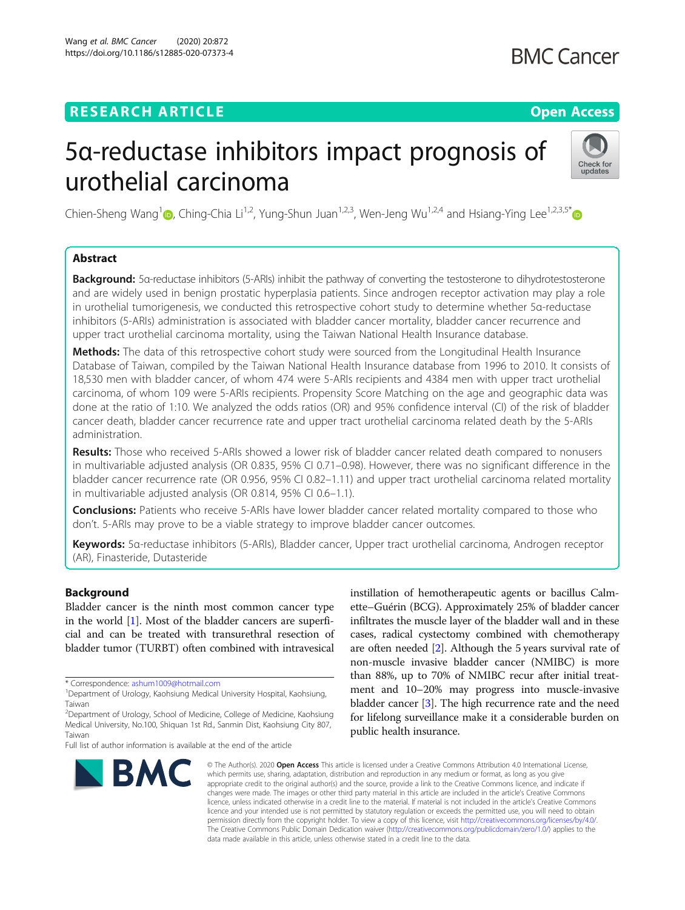### **RESEARCH ARTICLE Example 2014 12:30 The Contract of Contract ACCESS**

## **BMC Cancer**

# 5α-reductase inhibitors impact prognosis of urothelial carcinoma



Chien-Sheng Wang<sup>1</sup>  $\odot$ [,](https://orcid.org/0000-0002-0429-7409) Ching-Chia Li<sup>1,2</sup>, Yung-Shun Juan<sup>1,2,3</sup>, Wen-Jeng Wu<sup>1,2,4</sup> and Hsiang-Ying Lee<sup>1,2,3,5\*</sup> $\odot$ 

### Abstract

Background: 5α-reductase inhibitors (5-ARIs) inhibit the pathway of converting the testosterone to dihydrotestosterone and are widely used in benign prostatic hyperplasia patients. Since androgen receptor activation may play a role in urothelial tumorigenesis, we conducted this retrospective cohort study to determine whether 5α-reductase inhibitors (5-ARIs) administration is associated with bladder cancer mortality, bladder cancer recurrence and upper tract urothelial carcinoma mortality, using the Taiwan National Health Insurance database.

Methods: The data of this retrospective cohort study were sourced from the Longitudinal Health Insurance Database of Taiwan, compiled by the Taiwan National Health Insurance database from 1996 to 2010. It consists of 18,530 men with bladder cancer, of whom 474 were 5-ARIs recipients and 4384 men with upper tract urothelial carcinoma, of whom 109 were 5-ARIs recipients. Propensity Score Matching on the age and geographic data was done at the ratio of 1:10. We analyzed the odds ratios (OR) and 95% confidence interval (CI) of the risk of bladder cancer death, bladder cancer recurrence rate and upper tract urothelial carcinoma related death by the 5-ARIs administration.

Results: Those who received 5-ARIs showed a lower risk of bladder cancer related death compared to nonusers in multivariable adjusted analysis (OR 0.835, 95% CI 0.71–0.98). However, there was no significant difference in the bladder cancer recurrence rate (OR 0.956, 95% CI 0.82–1.11) and upper tract urothelial carcinoma related mortality in multivariable adjusted analysis (OR 0.814, 95% CI 0.6–1.1).

**Conclusions:** Patients who receive 5-ARIs have lower bladder cancer related mortality compared to those who don't. 5-ARIs may prove to be a viable strategy to improve bladder cancer outcomes.

Keywords: 5α-reductase inhibitors (5-ARIs), Bladder cancer, Upper tract urothelial carcinoma, Androgen receptor (AR), Finasteride, Dutasteride

#### Background

Bladder cancer is the ninth most common cancer type in the world [\[1](#page-5-0)]. Most of the bladder cancers are superficial and can be treated with transurethral resection of bladder tumor (TURBT) often combined with intravesical

**BMC** 

instillation of hemotherapeutic agents or bacillus Calmette–Guérin (BCG). Approximately 25% of bladder cancer infiltrates the muscle layer of the bladder wall and in these cases, radical cystectomy combined with chemotherapy are often needed [[2](#page-5-0)]. Although the 5 years survival rate of non-muscle invasive bladder cancer (NMIBC) is more than 88%, up to 70% of NMIBC recur after initial treatment and 10–20% may progress into muscle-invasive bladder cancer [[3\]](#page-5-0). The high recurrence rate and the need for lifelong surveillance make it a considerable burden on public health insurance.

© The Author(s), 2020 **Open Access** This article is licensed under a Creative Commons Attribution 4.0 International License, which permits use, sharing, adaptation, distribution and reproduction in any medium or format, as long as you give appropriate credit to the original author(s) and the source, provide a link to the Creative Commons licence, and indicate if changes were made. The images or other third party material in this article are included in the article's Creative Commons licence, unless indicated otherwise in a credit line to the material. If material is not included in the article's Creative Commons licence and your intended use is not permitted by statutory regulation or exceeds the permitted use, you will need to obtain permission directly from the copyright holder. To view a copy of this licence, visit [http://creativecommons.org/licenses/by/4.0/.](http://creativecommons.org/licenses/by/4.0/) The Creative Commons Public Domain Dedication waiver [\(http://creativecommons.org/publicdomain/zero/1.0/](http://creativecommons.org/publicdomain/zero/1.0/)) applies to the data made available in this article, unless otherwise stated in a credit line to the data.

<sup>\*</sup> Correspondence: [ashum1009@hotmail.com](mailto:ashum1009@hotmail.com) <sup>1</sup>

<sup>&</sup>lt;sup>1</sup>Department of Urology, Kaohsiung Medical University Hospital, Kaohsiung, Taiwan

<sup>&</sup>lt;sup>2</sup>Department of Urology, School of Medicine, College of Medicine, Kaohsiung Medical University, No.100, Shiquan 1st Rd., Sanmin Dist, Kaohsiung City 807, Taiwan

Full list of author information is available at the end of the article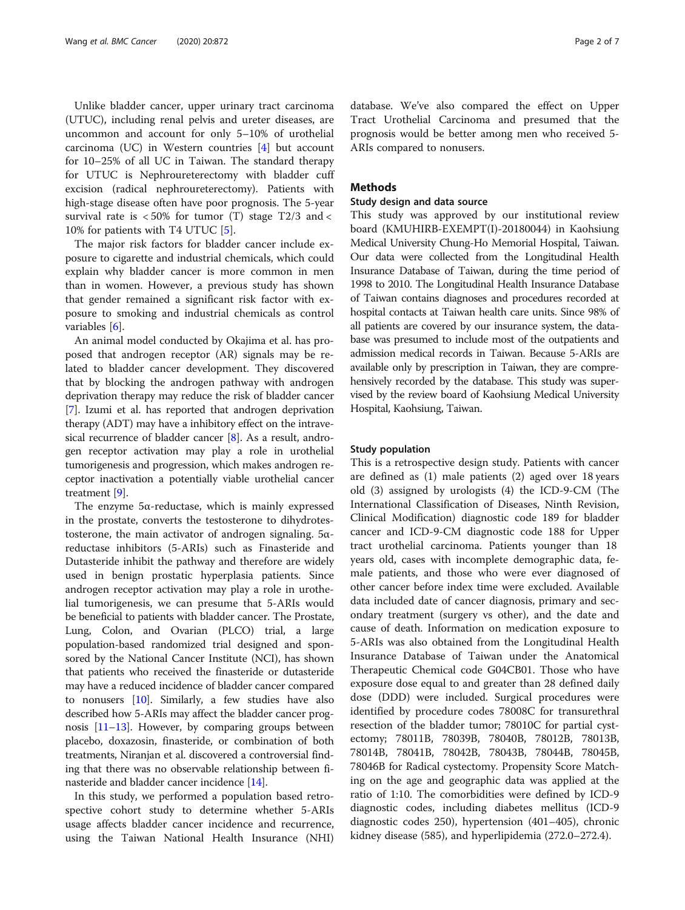Unlike bladder cancer, upper urinary tract carcinoma (UTUC), including renal pelvis and ureter diseases, are uncommon and account for only 5–10% of urothelial carcinoma (UC) in Western countries  $[4]$  but account for 10–25% of all UC in Taiwan. The standard therapy for UTUC is Nephroureterectomy with bladder cuff excision (radical nephroureterectomy). Patients with high-stage disease often have poor prognosis. The 5-year survival rate is  $< 50\%$  for tumor (T) stage T2/3 and  $<$ 10% for patients with T4 UTUC [[5\]](#page-5-0).

The major risk factors for bladder cancer include exposure to cigarette and industrial chemicals, which could explain why bladder cancer is more common in men than in women. However, a previous study has shown that gender remained a significant risk factor with exposure to smoking and industrial chemicals as control variables [\[6](#page-6-0)].

An animal model conducted by Okajima et al. has proposed that androgen receptor (AR) signals may be related to bladder cancer development. They discovered that by blocking the androgen pathway with androgen deprivation therapy may reduce the risk of bladder cancer [[7\]](#page-6-0). Izumi et al. has reported that androgen deprivation therapy (ADT) may have a inhibitory effect on the intravesical recurrence of bladder cancer [[8\]](#page-6-0). As a result, androgen receptor activation may play a role in urothelial tumorigenesis and progression, which makes androgen receptor inactivation a potentially viable urothelial cancer treatment [[9](#page-6-0)].

The enzyme 5α-reductase, which is mainly expressed in the prostate, converts the testosterone to dihydrotestosterone, the main activator of androgen signaling. 5αreductase inhibitors (5-ARIs) such as Finasteride and Dutasteride inhibit the pathway and therefore are widely used in benign prostatic hyperplasia patients. Since androgen receptor activation may play a role in urothelial tumorigenesis, we can presume that 5-ARIs would be beneficial to patients with bladder cancer. The Prostate, Lung, Colon, and Ovarian (PLCO) trial, a large population-based randomized trial designed and sponsored by the National Cancer Institute (NCI), has shown that patients who received the finasteride or dutasteride may have a reduced incidence of bladder cancer compared to nonusers [[10](#page-6-0)]. Similarly, a few studies have also described how 5-ARIs may affect the bladder cancer prognosis [\[11](#page-6-0)–[13](#page-6-0)]. However, by comparing groups between placebo, doxazosin, finasteride, or combination of both treatments, Niranjan et al. discovered a controversial finding that there was no observable relationship between finasteride and bladder cancer incidence [\[14\]](#page-6-0).

In this study, we performed a population based retrospective cohort study to determine whether 5-ARIs usage affects bladder cancer incidence and recurrence, using the Taiwan National Health Insurance (NHI) database. We've also compared the effect on Upper Tract Urothelial Carcinoma and presumed that the prognosis would be better among men who received 5- ARIs compared to nonusers.

#### Methods

#### Study design and data source

This study was approved by our institutional review board (KMUHIRB-EXEMPT(I)-20180044) in Kaohsiung Medical University Chung-Ho Memorial Hospital, Taiwan. Our data were collected from the Longitudinal Health Insurance Database of Taiwan, during the time period of 1998 to 2010. The Longitudinal Health Insurance Database of Taiwan contains diagnoses and procedures recorded at hospital contacts at Taiwan health care units. Since 98% of all patients are covered by our insurance system, the database was presumed to include most of the outpatients and admission medical records in Taiwan. Because 5-ARIs are available only by prescription in Taiwan, they are comprehensively recorded by the database. This study was supervised by the review board of Kaohsiung Medical University Hospital, Kaohsiung, Taiwan.

#### Study population

This is a retrospective design study. Patients with cancer are defined as (1) male patients (2) aged over 18 years old (3) assigned by urologists (4) the ICD-9-CM (The International Classification of Diseases, Ninth Revision, Clinical Modification) diagnostic code 189 for bladder cancer and ICD-9-CM diagnostic code 188 for Upper tract urothelial carcinoma. Patients younger than 18 years old, cases with incomplete demographic data, female patients, and those who were ever diagnosed of other cancer before index time were excluded. Available data included date of cancer diagnosis, primary and secondary treatment (surgery vs other), and the date and cause of death. Information on medication exposure to 5-ARIs was also obtained from the Longitudinal Health Insurance Database of Taiwan under the Anatomical Therapeutic Chemical code G04CB01. Those who have exposure dose equal to and greater than 28 defined daily dose (DDD) were included. Surgical procedures were identified by procedure codes 78008C for transurethral resection of the bladder tumor; 78010C for partial cystectomy; 78011B, 78039B, 78040B, 78012B, 78013B, 78014B, 78041B, 78042B, 78043B, 78044B, 78045B, 78046B for Radical cystectomy. Propensity Score Matching on the age and geographic data was applied at the ratio of 1:10. The comorbidities were defined by ICD-9 diagnostic codes, including diabetes mellitus (ICD-9 diagnostic codes 250), hypertension (401–405), chronic kidney disease (585), and hyperlipidemia (272.0–272.4).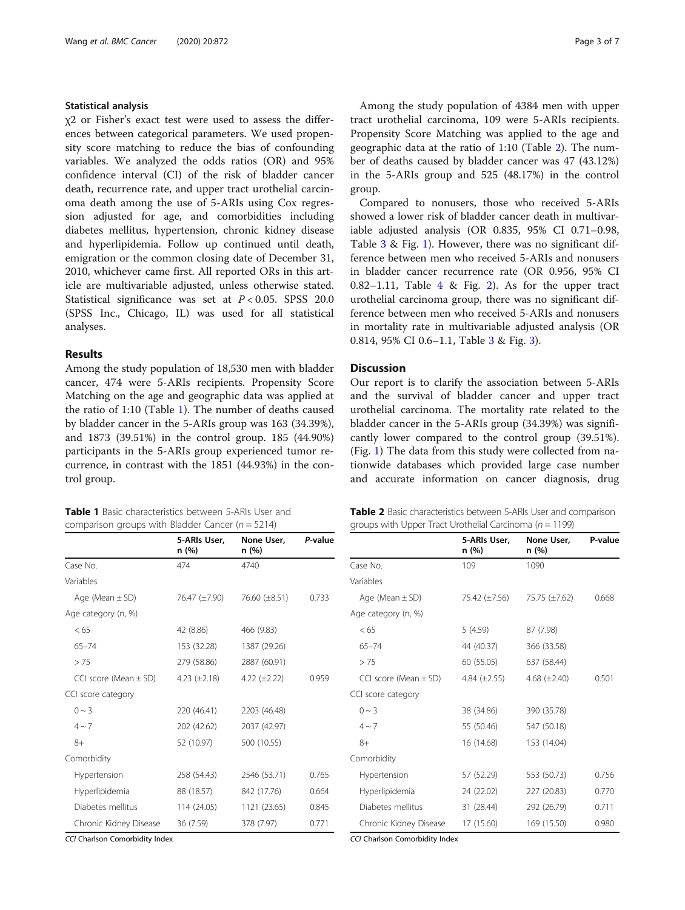#### Statistical analysis

χ2 or Fisher's exact test were used to assess the differences between categorical parameters. We used propensity score matching to reduce the bias of confounding variables. We analyzed the odds ratios (OR) and 95% confidence interval (CI) of the risk of bladder cancer death, recurrence rate, and upper tract urothelial carcinoma death among the use of 5-ARIs using Cox regression adjusted for age, and comorbidities including diabetes mellitus, hypertension, chronic kidney disease and hyperlipidemia. Follow up continued until death, emigration or the common closing date of December 31, 2010, whichever came first. All reported ORs in this article are multivariable adjusted, unless otherwise stated. Statistical significance was set at  $P < 0.05$ . SPSS 20.0 (SPSS Inc., Chicago, IL) was used for all statistical analyses.

#### Results

Among the study population of 18,530 men with bladder cancer, 474 were 5-ARIs recipients. Propensity Score Matching on the age and geographic data was applied at the ratio of 1:10 (Table 1). The number of deaths caused by bladder cancer in the 5-ARIs group was 163 (34.39%), and 1873 (39.51%) in the control group. 185 (44.90%) participants in the 5-ARIs group experienced tumor recurrence, in contrast with the 1851 (44.93%) in the control group.

Table 1 Basic characteristics between 5-ARIs User and

| s applied to the age and |  |  |  |
|--------------------------|--|--|--|
| . <i>.</i>               |  |  |  |

Propensity Score Matching was geographic data at the ratio of 1:10 (Table 2). The number of deaths caused by bladder cancer was 47 (43.12%) in the 5-ARIs group and 525 (48.17%) in the control group.

Among the study population of 4384 men with upper tract urothelial carcinoma, 109 were 5-ARIs recipients.

Compared to nonusers, those who received 5-ARIs showed a lower risk of bladder cancer death in multivariable adjusted analysis (OR 0.835, 95% CI 0.71–0.98, Table [3](#page-3-0) & Fig. [1](#page-3-0)). However, there was no significant difference between men who received 5-ARIs and nonusers in bladder cancer recurrence rate (OR 0.956, 95% CI 0.8[2](#page-4-0)–1.11, Table  $4 \&$  $4 \&$  Fig. 2). As for the upper tract urothelial carcinoma group, there was no significant difference between men who received 5-ARIs and nonusers in mortality rate in multivariable adjusted analysis (OR 0.814, 95% CI 0.6–1.1, Table [3](#page-3-0) & Fig. [3](#page-5-0)).

#### Discussion

Our report is to clarify the association between 5-ARIs and the survival of bladder cancer and upper tract urothelial carcinoma. The mortality rate related to the bladder cancer in the 5-ARIs group (34.39%) was significantly lower compared to the control group (39.51%). (Fig. [1](#page-3-0)) The data from this study were collected from nationwide databases which provided large case number and accurate information on cancer diagnosis, drug

| comparison groups with Bladder Cancer ( $n = 5214$ ) |                       |                     |         |  |  |
|------------------------------------------------------|-----------------------|---------------------|---------|--|--|
|                                                      | 5-ARIs User.<br>n (%) | None User,<br>n (%) | P-value |  |  |
| Case No.                                             | 474                   | 4740                |         |  |  |
| Variables                                            |                       |                     |         |  |  |
| Age (Mean $\pm$ SD)                                  | 76.47 (±7.90)         | 76.60 (±8.51)       | 0.733   |  |  |
| Age category (n, %)                                  |                       |                     |         |  |  |
| < 65                                                 | 42 (8.86)             | 466 (9.83)          |         |  |  |
| $65 - 74$                                            | 153 (32.28)           | 1387 (29.26)        |         |  |  |
| > 75                                                 | 279 (58.86)           | 2887 (60.91)        |         |  |  |
| CCI score (Mean $\pm$ SD)                            | 4.23 $(\pm 2.18)$     | 4.22 $(\pm 2.22)$   | 0.959   |  |  |
| CCI score category                                   |                       |                     |         |  |  |
| $0 \sim 3$                                           | 220 (46.41)           | 2203 (46.48)        |         |  |  |
| $4 \sim 7$                                           | 202 (42.62)           | 2037 (42.97)        |         |  |  |
| $8+$                                                 | 52 (10.97)            | 500 (10.55)         |         |  |  |
| Comorbidity                                          |                       |                     |         |  |  |
| Hypertension                                         | 258 (54.43)           | 2546 (53.71)        | 0.765   |  |  |
| Hyperlipidemia                                       | 88 (18.57)            | 842 (17.76)         | 0.664   |  |  |
| Diabetes mellitus                                    | 114 (24.05)           | 1121 (23.65)        | 0.845   |  |  |
| Chronic Kidney Disease                               | 36 (7.59)             | 378 (7.97)          | 0.771   |  |  |

CCI Charlson Comorbidity Index

**Table 2** Basic characteristics between 5-ARIs User and comparison groups with Upper Tract Urothelial Carcinoma ( $n = 1199$ )

|                           | 5-ARIs User,<br>n (%) | None User,<br>n (%) | P-value |
|---------------------------|-----------------------|---------------------|---------|
| Case No.                  | 109                   | 1090                |         |
| Variables                 |                       |                     |         |
| Age (Mean $\pm$ SD)       | 75.42 (±7.56)         | 75.75 (±7.62)       | 0.668   |
| Age category (n, %)       |                       |                     |         |
| < 65                      | 5 (4.59)              | 87 (7.98)           |         |
| $65 - 74$                 | 44 (40.37)            | 366 (33.58)         |         |
| > 75                      | 60 (55.05)            | 637 (58.44)         |         |
| CCI score (Mean $\pm$ SD) | 4.84 $(\pm 2.55)$     | 4.68 $(\pm 2.40)$   | 0.501   |
| CCI score category        |                       |                     |         |
| $0 \sim 3$                | 38 (34.86)            | 390 (35.78)         |         |
| $4 \sim 7$                | 55 (50.46)            | 547 (50.18)         |         |
| $8+$                      | 16 (14.68)            | 153 (14.04)         |         |
| Comorbidity               |                       |                     |         |
| Hypertension              | 57 (52.29)            | 553 (50.73)         | 0.756   |
| Hyperlipidemia            | 24 (22.02)            | 227 (20.83)         | 0.770   |
| Diabetes mellitus         | 31 (28.44)            | 292 (26.79)         | 0.711   |
| Chronic Kidney Disease    | 17 (15.60)            | 169 (15.50)         | 0.980   |

CCI Charlson Comorbidity Index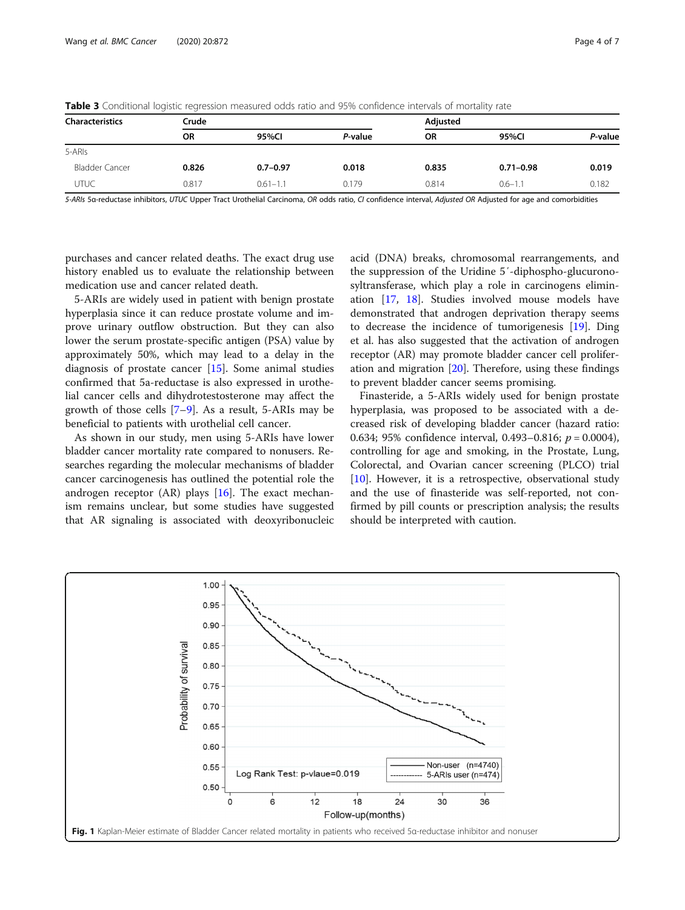| $\tilde{}$<br>$\tilde{\phantom{a}}$ |           |              |         |           |               |         |
|-------------------------------------|-----------|--------------|---------|-----------|---------------|---------|
| <b>Characteristics</b>              | Crude     |              |         | Adjusted  |               |         |
|                                     | <b>OR</b> | 95%Cl        | P-value | <b>OR</b> | 95%Cl         | P-value |
| 5-ARIs                              |           |              |         |           |               |         |
| <b>Bladder Cancer</b>               | 0.826     | $0.7 - 0.97$ | 0.018   | 0.835     | $0.71 - 0.98$ | 0.019   |
| UTUC                                | 0.817     | $0.61 - 1.1$ | 0.179   | 0.814     | $0.6 - 1.1$   | 0.182   |

<span id="page-3-0"></span>Table 3 Conditional logistic regression measured odds ratio and 95% confidence intervals of mortality rate

5-ARIs 5a-reductase inhibitors, UTUC Upper Tract Urothelial Carcinoma, OR odds ratio, CI confidence interval, Adjusted OR Adjusted for age and comorbidities

purchases and cancer related deaths. The exact drug use history enabled us to evaluate the relationship between medication use and cancer related death.

5-ARIs are widely used in patient with benign prostate hyperplasia since it can reduce prostate volume and improve urinary outflow obstruction. But they can also lower the serum prostate-specific antigen (PSA) value by approximately 50%, which may lead to a delay in the diagnosis of prostate cancer [\[15](#page-6-0)]. Some animal studies confirmed that 5a-reductase is also expressed in urothelial cancer cells and dihydrotestosterone may affect the growth of those cells [\[7](#page-6-0)–[9](#page-6-0)]. As a result, 5-ARIs may be beneficial to patients with urothelial cell cancer.

As shown in our study, men using 5-ARIs have lower bladder cancer mortality rate compared to nonusers. Researches regarding the molecular mechanisms of bladder cancer carcinogenesis has outlined the potential role the androgen receptor  $(AR)$  plays  $[16]$  $[16]$ . The exact mechanism remains unclear, but some studies have suggested that AR signaling is associated with deoxyribonucleic acid (DNA) breaks, chromosomal rearrangements, and the suppression of the Uridine 5′-diphospho-glucuronosyltransferase, which play a role in carcinogens elimination [[17,](#page-6-0) [18](#page-6-0)]. Studies involved mouse models have demonstrated that androgen deprivation therapy seems to decrease the incidence of tumorigenesis [\[19](#page-6-0)]. Ding et al. has also suggested that the activation of androgen receptor (AR) may promote bladder cancer cell proliferation and migration  $[20]$  $[20]$ . Therefore, using these findings to prevent bladder cancer seems promising.

Finasteride, a 5-ARIs widely used for benign prostate hyperplasia, was proposed to be associated with a decreased risk of developing bladder cancer (hazard ratio: 0.634; 95% confidence interval, 0.493–0.816;  $p = 0.0004$ ), controlling for age and smoking, in the Prostate, Lung, Colorectal, and Ovarian cancer screening (PLCO) trial [[10\]](#page-6-0). However, it is a retrospective, observational study and the use of finasteride was self-reported, not confirmed by pill counts or prescription analysis; the results should be interpreted with caution.

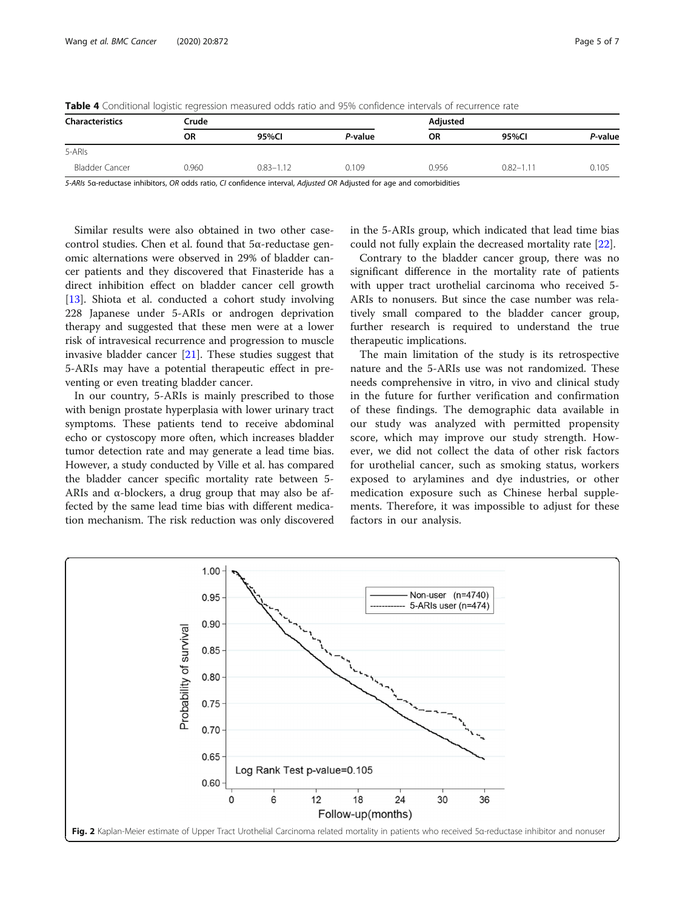| <b>Characteristics</b> | Crude     |               |         | Adjusted  |               |         |
|------------------------|-----------|---------------|---------|-----------|---------------|---------|
|                        | <b>OR</b> | 95%Cl         | P-value | <b>OR</b> | 95%Cl         | P-value |
| 5-ARIs                 |           |               |         |           |               |         |
| Bladder Cancer         | 0.960     | $0.83 - 1.12$ | 0.109   | 0.956     | $0.82 - 1.11$ | 0.105   |

<span id="page-4-0"></span>Table 4 Conditional logistic regression measured odds ratio and 95% confidence intervals of recurrence rate

5-ARIs 5α-reductase inhibitors, OR odds ratio, CI confidence interval, Adjusted OR Adjusted for age and comorbidities

Similar results were also obtained in two other casecontrol studies. Chen et al. found that 5α-reductase genomic alternations were observed in 29% of bladder cancer patients and they discovered that Finasteride has a direct inhibition effect on bladder cancer cell growth [[13\]](#page-6-0). Shiota et al. conducted a cohort study involving 228 Japanese under 5-ARIs or androgen deprivation therapy and suggested that these men were at a lower risk of intravesical recurrence and progression to muscle invasive bladder cancer [\[21\]](#page-6-0). These studies suggest that 5-ARIs may have a potential therapeutic effect in preventing or even treating bladder cancer.

In our country, 5-ARIs is mainly prescribed to those with benign prostate hyperplasia with lower urinary tract symptoms. These patients tend to receive abdominal echo or cystoscopy more often, which increases bladder tumor detection rate and may generate a lead time bias. However, a study conducted by Ville et al. has compared the bladder cancer specific mortality rate between 5- ARIs and  $\alpha$ -blockers, a drug group that may also be affected by the same lead time bias with different medication mechanism. The risk reduction was only discovered in the 5-ARIs group, which indicated that lead time bias could not fully explain the decreased mortality rate [\[22](#page-6-0)].

Contrary to the bladder cancer group, there was no significant difference in the mortality rate of patients with upper tract urothelial carcinoma who received 5- ARIs to nonusers. But since the case number was relatively small compared to the bladder cancer group, further research is required to understand the true therapeutic implications.

The main limitation of the study is its retrospective nature and the 5-ARIs use was not randomized. These needs comprehensive in vitro, in vivo and clinical study in the future for further verification and confirmation of these findings. The demographic data available in our study was analyzed with permitted propensity score, which may improve our study strength. However, we did not collect the data of other risk factors for urothelial cancer, such as smoking status, workers exposed to arylamines and dye industries, or other medication exposure such as Chinese herbal supplements. Therefore, it was impossible to adjust for these factors in our analysis.

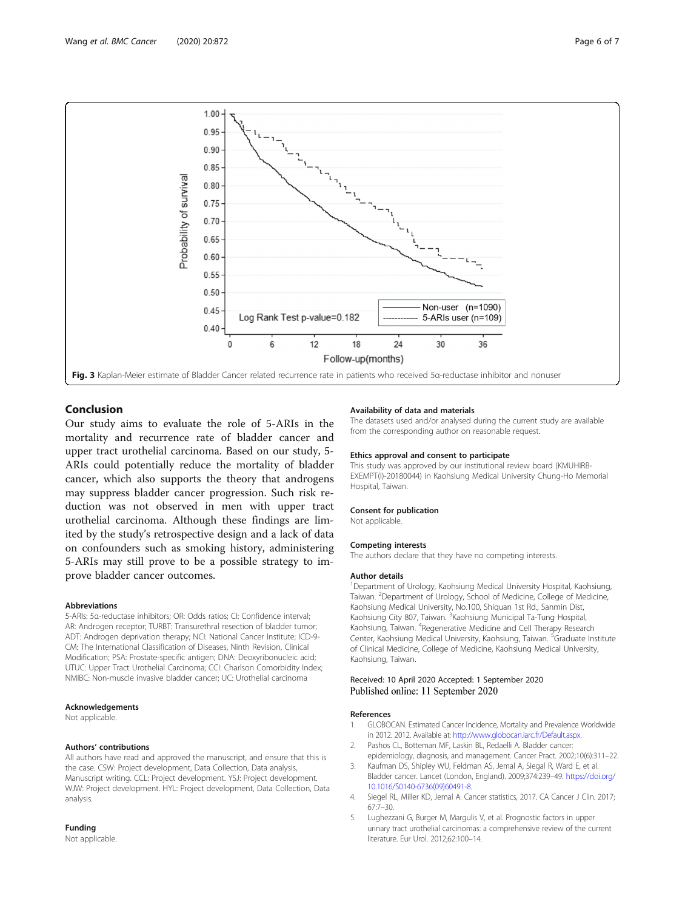<span id="page-5-0"></span>

#### Conclusion

Our study aims to evaluate the role of 5-ARIs in the mortality and recurrence rate of bladder cancer and upper tract urothelial carcinoma. Based on our study, 5- ARIs could potentially reduce the mortality of bladder cancer, which also supports the theory that androgens may suppress bladder cancer progression. Such risk reduction was not observed in men with upper tract urothelial carcinoma. Although these findings are limited by the study's retrospective design and a lack of data on confounders such as smoking history, administering 5-ARIs may still prove to be a possible strategy to improve bladder cancer outcomes.

#### Abbreviations

5-ARIs: 5α-reductase inhibitors; OR: Odds ratios; CI: Confidence interval; AR: Androgen receptor; TURBT: Transurethral resection of bladder tumor; ADT: Androgen deprivation therapy; NCI: National Cancer Institute; ICD-9- CM: The International Classification of Diseases, Ninth Revision, Clinical Modification; PSA: Prostate-specific antigen; DNA: Deoxyribonucleic acid; UTUC: Upper Tract Urothelial Carcinoma; CCI: Charlson Comorbidity Index; NMIBC: Non-muscle invasive bladder cancer; UC: Urothelial carcinoma

#### Acknowledgements

Not applicable.

#### Authors' contributions

All authors have read and approved the manuscript, and ensure that this is the case. CSW: Project development, Data Collection, Data analysis, Manuscript writing. CCL: Project development. YSJ: Project development. WJW: Project development. HYL: Project development, Data Collection, Data analysis.

#### Funding

Not applicable.

#### Availability of data and materials

The datasets used and/or analysed during the current study are available from the corresponding author on reasonable request.

#### Ethics approval and consent to participate

This study was approved by our institutional review board (KMUHIRB-EXEMPT(I)-20180044) in Kaohsiung Medical University Chung-Ho Memorial Hospital, Taiwan.

#### Consent for publication

Not applicable.

#### Competing interests

The authors declare that they have no competing interests.

#### Author details

<sup>1</sup> Department of Urology, Kaohsiung Medical University Hospital, Kaohsiung Taiwan. <sup>2</sup> Department of Urology, School of Medicine, College of Medicine Kaohsiung Medical University, No.100, Shiquan 1st Rd., Sanmin Dist, Kaohsiung City 807, Taiwan. <sup>3</sup>Kaohsiung Municipal Ta-Tung Hospital Kaohsiung, Taiwan. <sup>4</sup>Regenerative Medicine and Cell Therapy Research Center, Kaohsiung Medical University, Kaohsiung, Taiwan. <sup>5</sup>Graduate Institute of Clinical Medicine, College of Medicine, Kaohsiung Medical University, Kaohsiung, Taiwan.

#### Received: 10 April 2020 Accepted: 1 September 2020 Published online: 11 September 2020

#### References

- 1. GLOBOCAN. Estimated Cancer Incidence, Mortality and Prevalence Worldwide in 2012. 2012. Available at: [http://www.globocan.iarc.fr/Default.aspx.](http://www.globocan.iarc.fr/Default.aspx)
- Pashos CL, Botteman MF, Laskin BL, Redaelli A. Bladder cancer epidemiology, diagnosis, and management. Cancer Pract. 2002;10(6):311–22.
- 3. Kaufman DS, Shipley WU, Feldman AS, Jemal A, Siegal R, Ward E, et al. Bladder cancer. Lancet (London, England). 2009;374:239–49. [https://doi.org/](https://doi.org/10.1016/S0140-6736(09)60491-8) [10.1016/S0140-6736\(09\)60491-8.](https://doi.org/10.1016/S0140-6736(09)60491-8)
- 4. Siegel RL, Miller KD, Jemal A. Cancer statistics, 2017. CA Cancer J Clin. 2017; 67:7–30.
- 5. Lughezzani G, Burger M, Margulis V, et al. Prognostic factors in upper urinary tract urothelial carcinomas: a comprehensive review of the current literature. Eur Urol. 2012;62:100–14.